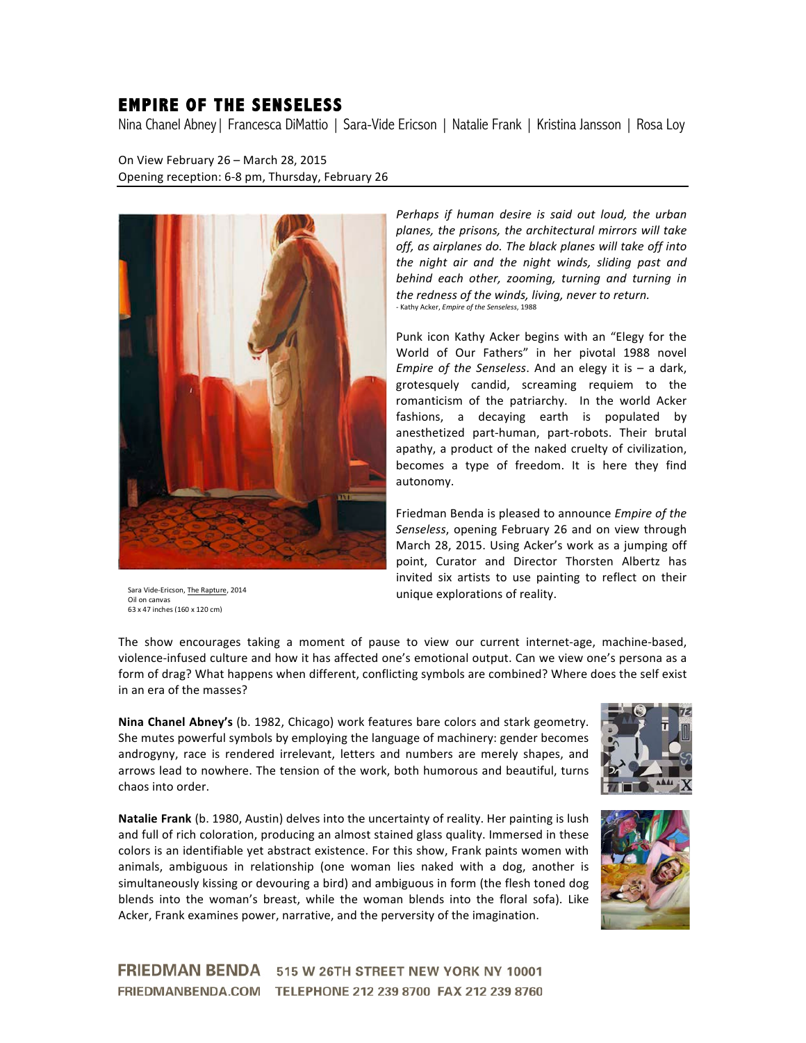## **EMPIRE OF THE SENSELESS**

Nina Chanel Abney| Francesca DiMattio | Sara-Vide Ericson | Natalie Frank | Kristina Jansson | Rosa Loy

On View February 26 - March 28, 2015 Opening reception: 6-8 pm, Thursday, February 26



Sara Vide-Ericson, The Rapture, 2014 Oil on canvas 63 x 47 inches (160 x 120 cm)

*Perhaps if human desire is said out loud, the urban* planes, the prisons, the architectural mirrors will take off, as airplanes do. The black planes will take off into *the night air and the night winds, sliding past and behind each other, zooming, turning and turning in* the redness of the winds, living, never to return. - Kathy Acker, *Empire of the Senseless*, 1988

Punk icon Kathy Acker begins with an "Elegy for the World of Our Fathers" in her pivotal 1988 novel *Empire of the Senseless*. And an elegy it is  $-$  a dark, grotesquely candid, screaming requiem to the romanticism of the patriarchy. In the world Acker fashions, a decaying earth is populated by anesthetized part-human, part-robots. Their brutal apathy, a product of the naked cruelty of civilization, becomes a type of freedom. It is here they find autonomy.

Friedman Benda is pleased to announce *Empire of the* Senseless, opening February 26 and on view through March 28, 2015. Using Acker's work as a jumping off point, Curator and Director Thorsten Albertz has invited six artists to use painting to reflect on their unique explorations of reality.

The show encourages taking a moment of pause to view our current internet-age, machine-based, violence-infused culture and how it has affected one's emotional output. Can we view one's persona as a form of drag? What happens when different, conflicting symbols are combined? Where does the self exist in an era of the masses?

**Nina Chanel Abney's** (b. 1982, Chicago) work features bare colors and stark geometry. She mutes powerful symbols by employing the language of machinery: gender becomes androgyny, race is rendered irrelevant, letters and numbers are merely shapes, and arrows lead to nowhere. The tension of the work, both humorous and beautiful, turns chaos into order.

Natalie Frank (b. 1980, Austin) delves into the uncertainty of reality. Her painting is lush and full of rich coloration, producing an almost stained glass quality. Immersed in these colors is an identifiable yet abstract existence. For this show, Frank paints women with animals, ambiguous in relationship (one woman lies naked with a dog, another is simultaneously kissing or devouring a bird) and ambiguous in form (the flesh toned dog blends into the woman's breast, while the woman blends into the floral sofa). Like Acker, Frank examines power, narrative, and the perversity of the imagination.





FRIEDMAN BENDA 515 W 26TH STREET NEW YORK NY 10001 FRIEDMANBENDA.COM TELEPHONE 212 239 8700 FAX 212 239 8760